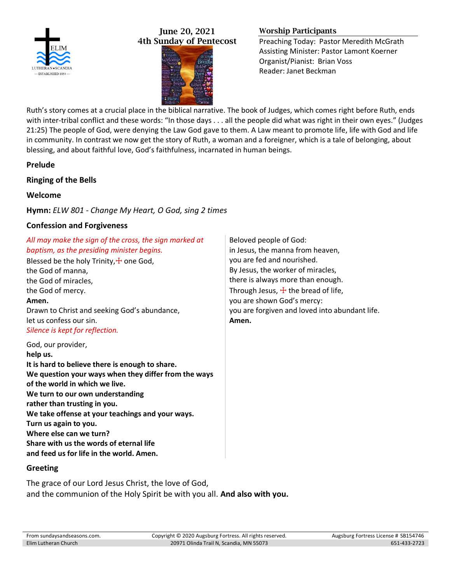

## June 20, 2021 4th Sunday of Pentecost



# Worship Participants

Preaching Today: Pastor Meredith McGrath Assisting Minister: Pastor Lamont Koerner Organist/Pianist: Brian Voss Reader: Janet Beckman

Ruth's story comes at a crucial place in the biblical narrative. The book of Judges, which comes right before Ruth, ends with inter-tribal conflict and these words: "In those days . . . all the people did what was right in their own eyes." (Judges 21:25) The people of God, were denying the Law God gave to them. A Law meant to promote life, life with God and life in community. In contrast we now get the story of Ruth, a woman and a foreigner, which is a tale of belonging, about blessing, and about faithful love, God's faithfulness, incarnated in human beings.

## **Prelude**

## **Ringing of the Bells**

## **Welcome**

**Hymn:** *ELW 801 - Change My Heart, O God, sing 2 times*

### **Confession and Forgiveness**

| All may make the sign of the cross, the sign marked at<br>baptism, as the presiding minister begins.<br>Blessed be the holy Trinity, $\pm$ one God,<br>the God of manna,<br>the God of miracles,<br>the God of mercy.<br>Amen.<br>Drawn to Christ and seeking God's abundance,<br>let us confess our sin.<br>Silence is kept for reflection.                                                                                                   | Beloved people of God:<br>in Jesus, the manna from heaven,<br>you are fed and nourished.<br>By Jesus, the worker of miracles,<br>there is always more than enough.<br>Through Jesus, $\pm$ the bread of life,<br>you are shown God's mercy:<br>you are forgiven and loved into abundant life.<br>Amen. |
|------------------------------------------------------------------------------------------------------------------------------------------------------------------------------------------------------------------------------------------------------------------------------------------------------------------------------------------------------------------------------------------------------------------------------------------------|--------------------------------------------------------------------------------------------------------------------------------------------------------------------------------------------------------------------------------------------------------------------------------------------------------|
| God, our provider,<br>help us.<br>It is hard to believe there is enough to share.<br>We question your ways when they differ from the ways<br>of the world in which we live.<br>We turn to our own understanding<br>rather than trusting in you.<br>We take offense at your teachings and your ways.<br>Turn us again to you.<br>Where else can we turn?<br>Share with us the words of eternal life<br>and feed us for life in the world. Amen. |                                                                                                                                                                                                                                                                                                        |

### **Greeting**

The grace of our Lord Jesus Christ, the love of God, and the communion of the Holy Spirit be with you all. **And also with you.**